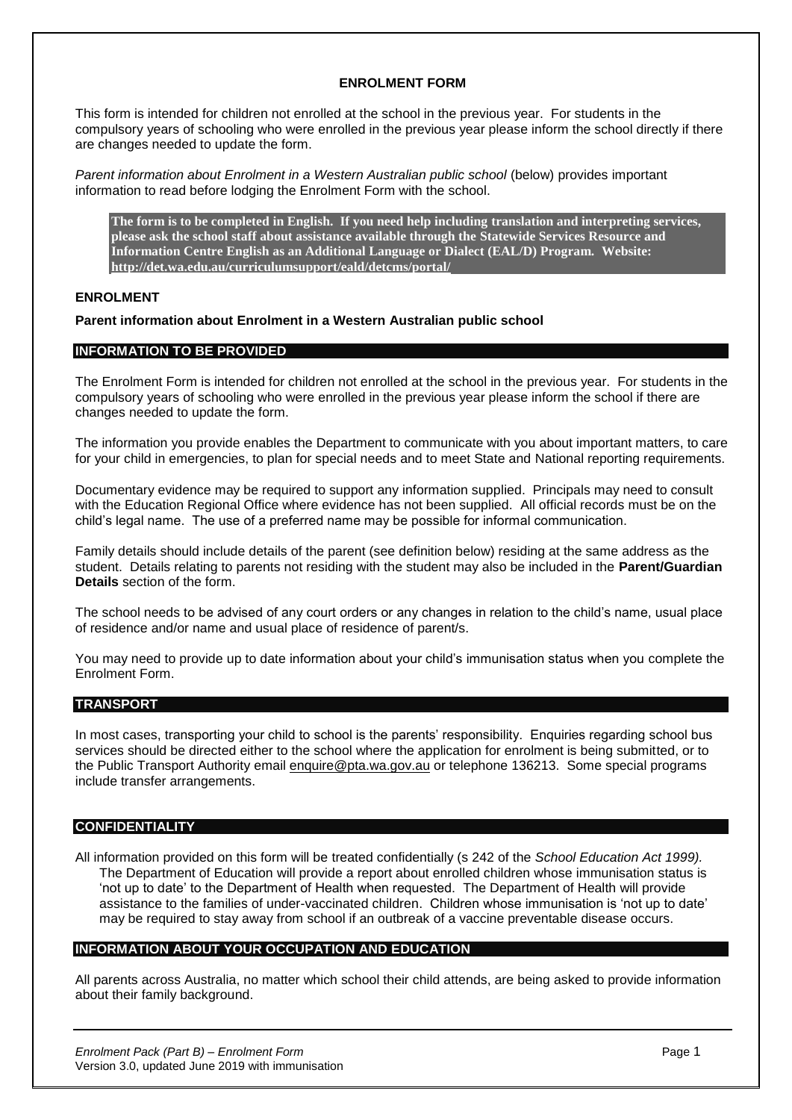### **ENROLMENT FORM**

This form is intended for children not enrolled at the school in the previous year. For students in the compulsory years of schooling who were enrolled in the previous year please inform the school directly if there are changes needed to update the form.

*Parent information about Enrolment in a Western Australian public school* (below) provides important information to read before lodging the Enrolment Form with the school.

**The form is to be completed in English. If you need help including translation and interpreting services, please ask the school staff about assistance available through the Statewide Services Resource and Information Centre English as an Additional Language or Dialect (EAL/D) Program. Website: <http://det.wa.edu.au/curriculumsupport/eald/detcms/portal/>**

### **ENROLMENT**

### **Parent information about Enrolment in a Western Australian public school**

### **INFORMATION TO BE PROVIDED**

The Enrolment Form is intended for children not enrolled at the school in the previous year. For students in the compulsory years of schooling who were enrolled in the previous year please inform the school if there are changes needed to update the form.

The information you provide enables the Department to communicate with you about important matters, to care for your child in emergencies, to plan for special needs and to meet State and National reporting requirements.

Documentary evidence may be required to support any information supplied. Principals may need to consult with the Education Regional Office where evidence has not been supplied. All official records must be on the child's legal name. The use of a preferred name may be possible for informal communication.

Family details should include details of the parent (see definition below) residing at the same address as the student. Details relating to parents not residing with the student may also be included in the **Parent/Guardian Details** section of the form.

The school needs to be advised of any court orders or any changes in relation to the child's name, usual place of residence and/or name and usual place of residence of parent/s.

You may need to provide up to date information about your child's immunisation status when you complete the Enrolment Form.

#### **TRANSPORT**

In most cases, transporting your child to school is the parents' responsibility. Enquiries regarding school bus services should be directed either to the school where the application for enrolment is being submitted, or to the Public Transport Authority email [enquire@pta.wa.gov.au](mailto:enquire%40pta.wa.gov.au) or telephone 136213. Some special programs include transfer arrangements.

#### **CONFIDENTIALITY**

All information provided on this form will be treated confidentially (s 242 of the *School Education Act 1999).* The Department of Education will provide a report about enrolled children whose immunisation status is 'not up to date' to the Department of Health when requested. The Department of Health will provide assistance to the families of under-vaccinated children. Children whose immunisation is 'not up to date' may be required to stay away from school if an outbreak of a vaccine preventable disease occurs.

### **INFORMATION ABOUT YOUR OCCUPATION AND EDUCATION**

All parents across Australia, no matter which school their child attends, are being asked to provide information about their family background.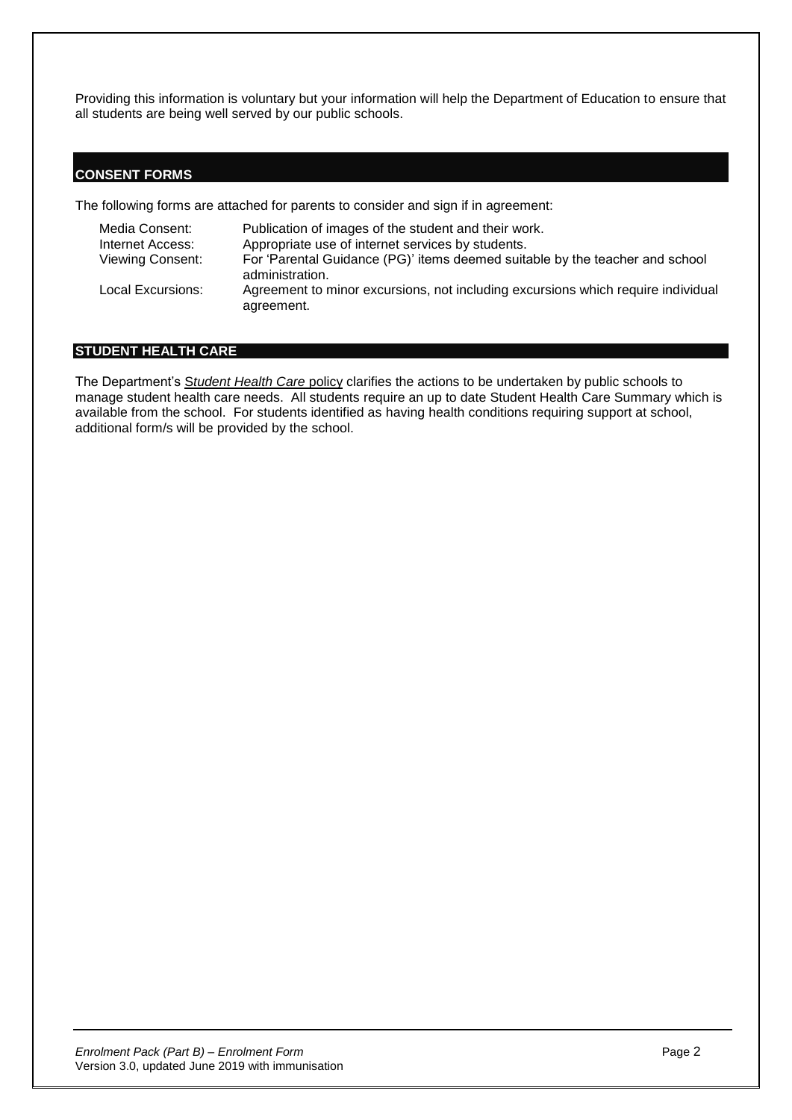Providing this information is voluntary but your information will help the Department of Education to ensure that all students are being well served by our public schools.

### **CONSENT FORMS**

The following forms are attached for parents to consider and sign if in agreement:

| Media Consent:<br>Internet Access: | Publication of images of the student and their work.<br>Appropriate use of internet services by students. |
|------------------------------------|-----------------------------------------------------------------------------------------------------------|
| <b>Viewing Consent:</b>            | For 'Parental Guidance (PG)' items deemed suitable by the teacher and school<br>administration.           |
| Local Excursions:                  | Agreement to minor excursions, not including excursions which require individual<br>agreement.            |

### **STUDENT HEALTH CARE**

The Department's S*[tudent Health Care](http://det.wa.edu.au/policies/detcms/policy-planning-and-accountability/policies-framework/policies/student-health-care.en?oid=au.edu.wa.det.cms.contenttypes.Policy-id-8962874)* policy clarifies the actions to be undertaken by public schools to manage student health care needs. All students require an up to date Student Health Care Summary which is available from the school. For students identified as having health conditions requiring support at school, additional form/s will be provided by the school.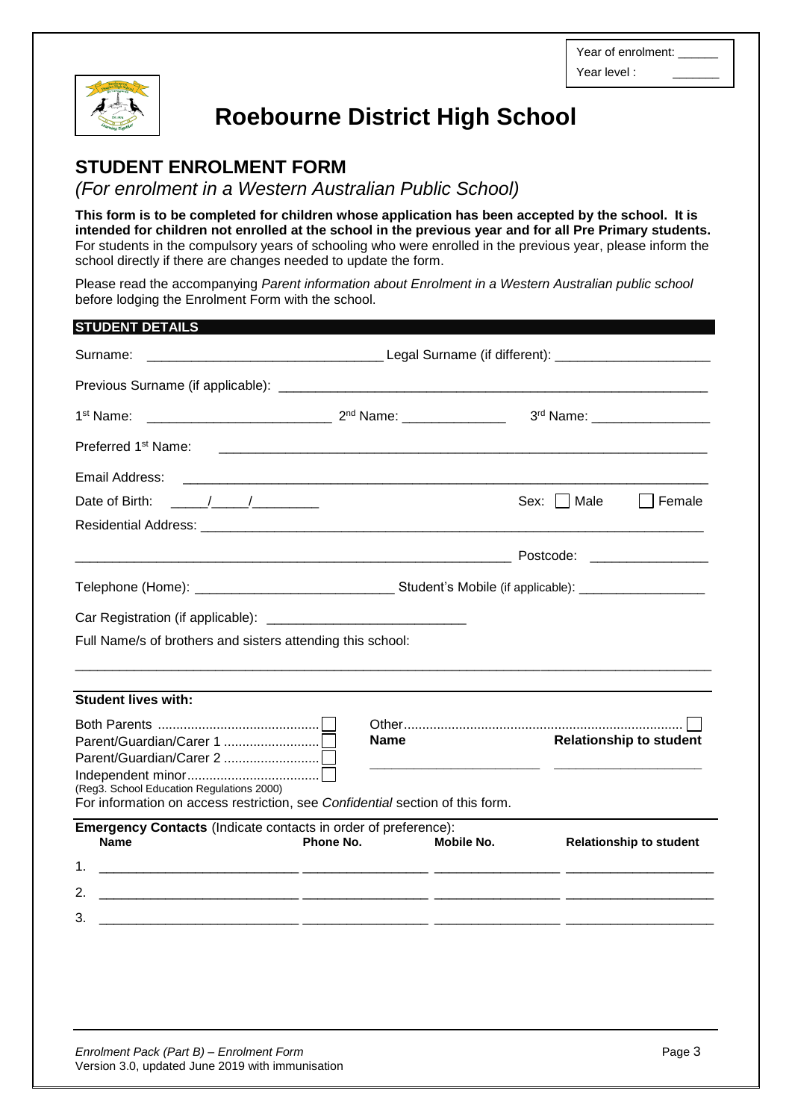Year of enrolment: Year level :



# **Roebourne District High School**

# **STUDENT ENROLMENT FORM**

*(For enrolment in a Western Australian Public School)*

**This form is to be completed for children whose application has been accepted by the school. It is intended for children not enrolled at the school in the previous year and for all Pre Primary students.** For students in the compulsory years of schooling who were enrolled in the previous year, please inform the school directly if there are changes needed to update the form.

Please read the accompanying *Parent information about Enrolment in a Western Australian public school* before lodging the Enrolment Form with the school.

| <b>STUDENT DETAILS</b>                                                                                                     |                                                        |                   |               |                                |
|----------------------------------------------------------------------------------------------------------------------------|--------------------------------------------------------|-------------------|---------------|--------------------------------|
| Surname:                                                                                                                   |                                                        |                   |               |                                |
|                                                                                                                            |                                                        |                   |               |                                |
| 1 <sup>st</sup> Name:                                                                                                      |                                                        |                   |               | 3rd Name: ___________________  |
| Preferred 1 <sup>st</sup> Name:                                                                                            |                                                        |                   |               |                                |
| Email Address:                                                                                                             | <u> 2002 - Jan Barnett, fransk politiker (d. 1982)</u> |                   |               |                                |
| Date of Birth: $\frac{1}{2}$                                                                                               |                                                        |                   | Sex:     Male | Female                         |
|                                                                                                                            |                                                        |                   |               |                                |
|                                                                                                                            |                                                        |                   |               |                                |
|                                                                                                                            |                                                        |                   |               |                                |
|                                                                                                                            |                                                        |                   |               |                                |
| Full Name/s of brothers and sisters attending this school:                                                                 |                                                        |                   |               |                                |
|                                                                                                                            |                                                        |                   |               |                                |
|                                                                                                                            |                                                        |                   |               |                                |
| <b>Student lives with:</b>                                                                                                 |                                                        |                   |               |                                |
|                                                                                                                            |                                                        |                   |               |                                |
|                                                                                                                            | <b>Name</b>                                            |                   |               | <b>Relationship to student</b> |
|                                                                                                                            |                                                        |                   |               |                                |
| (Reg3. School Education Regulations 2000)<br>For information on access restriction, see Confidential section of this form. |                                                        |                   |               |                                |
| <b>Emergency Contacts (Indicate contacts in order of preference):</b>                                                      |                                                        |                   |               |                                |
| <b>Name</b>                                                                                                                | Phone No.                                              | <b>Mobile No.</b> |               | <b>Relationship to student</b> |
|                                                                                                                            |                                                        |                   |               |                                |
|                                                                                                                            |                                                        |                   |               |                                |
| 3.                                                                                                                         |                                                        |                   |               |                                |
|                                                                                                                            |                                                        |                   |               |                                |
|                                                                                                                            |                                                        |                   |               |                                |
|                                                                                                                            |                                                        |                   |               |                                |
|                                                                                                                            |                                                        |                   |               |                                |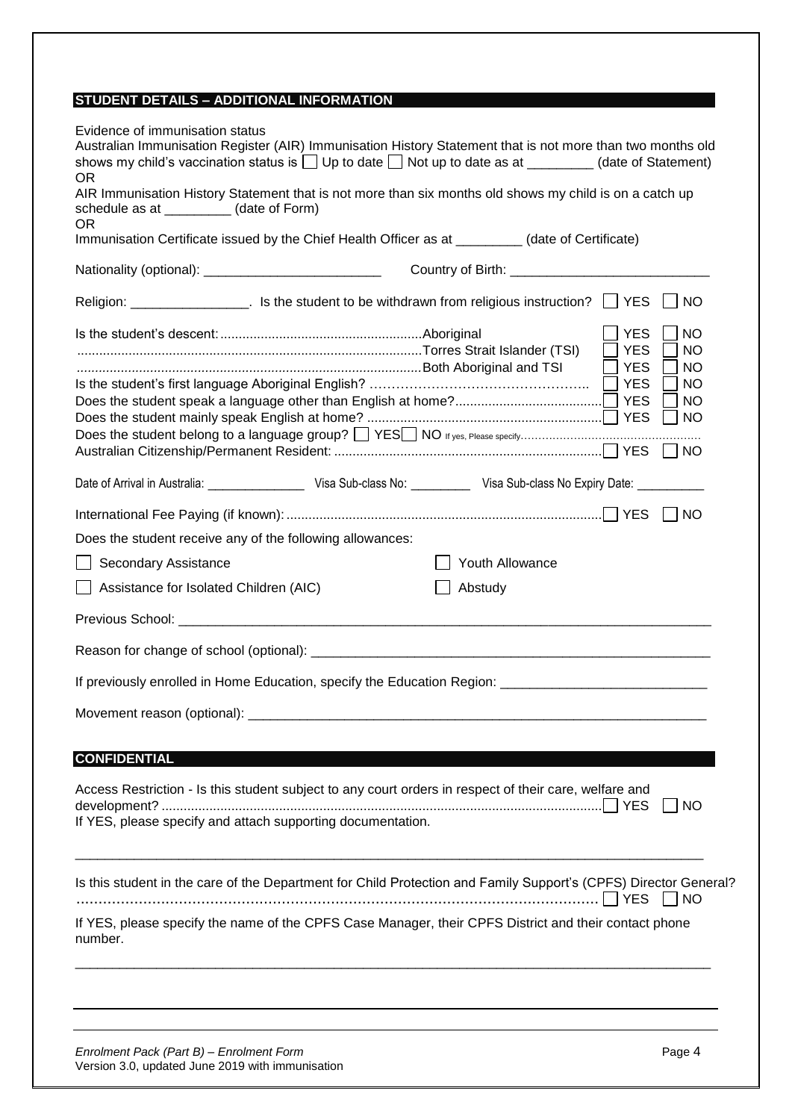### **STUDENT DETAILS – ADDITIONAL INFORMATION**

| Evidence of immunisation status<br>Australian Immunisation Register (AIR) Immunisation History Statement that is not more than two months old<br>shows my child's vaccination status is $\Box$ Up to date $\Box$ Not up to date as at ________ (date of Statement)<br>OR. |                 |                                                                                                                                                                         |
|---------------------------------------------------------------------------------------------------------------------------------------------------------------------------------------------------------------------------------------------------------------------------|-----------------|-------------------------------------------------------------------------------------------------------------------------------------------------------------------------|
| AIR Immunisation History Statement that is not more than six months old shows my child is on a catch up<br>schedule as at __________ (date of Form)<br><b>OR</b>                                                                                                          |                 |                                                                                                                                                                         |
| Immunisation Certificate issued by the Chief Health Officer as at ___________ (date of Certificate)                                                                                                                                                                       |                 |                                                                                                                                                                         |
| Nationality (optional): _______________________________                                                                                                                                                                                                                   |                 |                                                                                                                                                                         |
|                                                                                                                                                                                                                                                                           |                 | $\vert$ NO                                                                                                                                                              |
|                                                                                                                                                                                                                                                                           |                 | <b>YES</b><br><b>NO</b><br><b>YES</b><br><b>NO</b><br><b>YES</b><br><b>NO</b><br><b>YES</b><br><b>NO</b><br><b>YES</b><br><b>NO</b><br><b>YES</b><br>$\vert$ $\vert$ NO |
|                                                                                                                                                                                                                                                                           |                 | $\vert$ $\vert$ NO                                                                                                                                                      |
| Date of Arrival in Australia: _______________________ Visa Sub-class No: _____________ Visa Sub-class No Expiry Date: _____________                                                                                                                                       |                 |                                                                                                                                                                         |
|                                                                                                                                                                                                                                                                           |                 | NO                                                                                                                                                                      |
| Does the student receive any of the following allowances:                                                                                                                                                                                                                 |                 |                                                                                                                                                                         |
| Secondary Assistance                                                                                                                                                                                                                                                      | Youth Allowance |                                                                                                                                                                         |
| Assistance for Isolated Children (AIC)                                                                                                                                                                                                                                    | Abstudy         |                                                                                                                                                                         |
|                                                                                                                                                                                                                                                                           |                 |                                                                                                                                                                         |
|                                                                                                                                                                                                                                                                           |                 |                                                                                                                                                                         |
| If previously enrolled in Home Education, specify the Education Region: ____________________________                                                                                                                                                                      |                 |                                                                                                                                                                         |
|                                                                                                                                                                                                                                                                           |                 |                                                                                                                                                                         |
|                                                                                                                                                                                                                                                                           |                 |                                                                                                                                                                         |
| <b>CONFIDENTIAL</b>                                                                                                                                                                                                                                                       |                 |                                                                                                                                                                         |
| Access Restriction - Is this student subject to any court orders in respect of their care, welfare and                                                                                                                                                                    |                 |                                                                                                                                                                         |
| If YES, please specify and attach supporting documentation.                                                                                                                                                                                                               |                 | NO                                                                                                                                                                      |
| Is this student in the care of the Department for Child Protection and Family Support's (CPFS) Director General?                                                                                                                                                          |                 |                                                                                                                                                                         |
| If YES, please specify the name of the CPFS Case Manager, their CPFS District and their contact phone<br>number.                                                                                                                                                          |                 |                                                                                                                                                                         |
|                                                                                                                                                                                                                                                                           |                 |                                                                                                                                                                         |
|                                                                                                                                                                                                                                                                           |                 |                                                                                                                                                                         |

*Enrolment Pack (Part B) – Enrolment Form* Page 4 Version 3.0, updated June 2019 with immunisation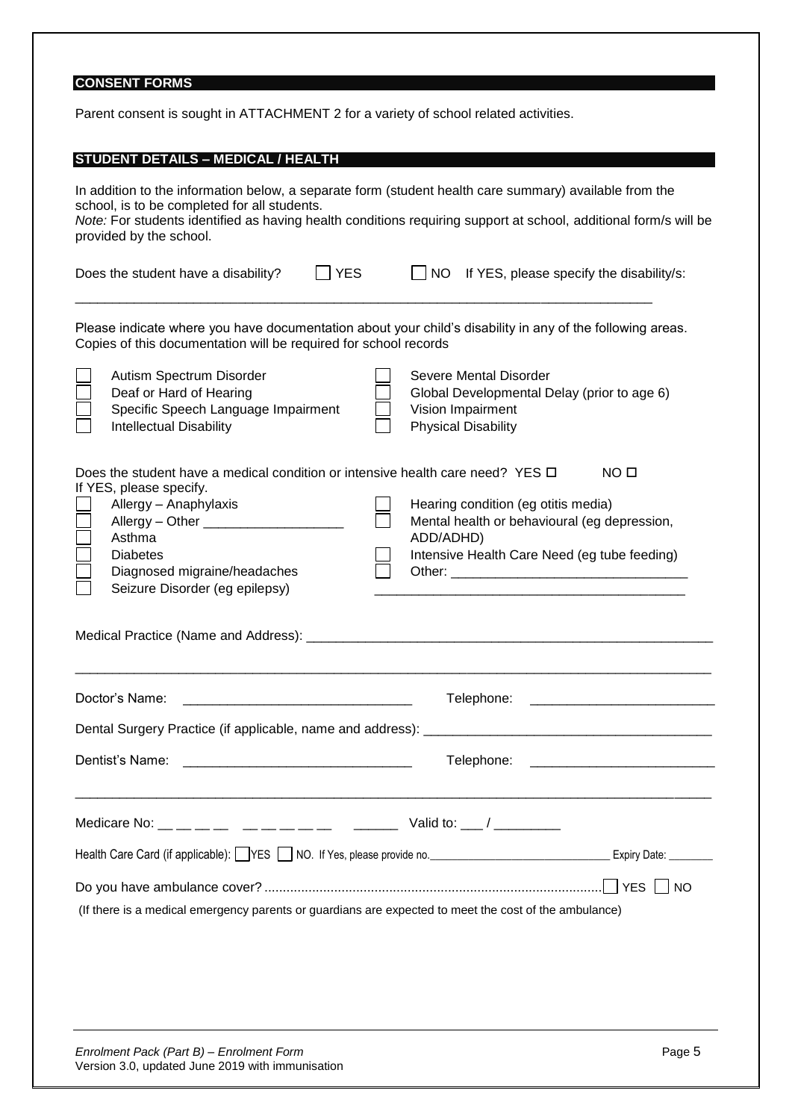# **CONSENT FORMS**

Parent consent is sought in ATTACHMENT 2 for a variety of school related activities.

| <b>STUDENT DETAILS - MEDICAL / HEALTH</b>                                                                                                                                                                                                                                                             |                                                                                                                                                                      |  |  |  |
|-------------------------------------------------------------------------------------------------------------------------------------------------------------------------------------------------------------------------------------------------------------------------------------------------------|----------------------------------------------------------------------------------------------------------------------------------------------------------------------|--|--|--|
| In addition to the information below, a separate form (student health care summary) available from the<br>school, is to be completed for all students.<br>Note: For students identified as having health conditions requiring support at school, additional form/s will be<br>provided by the school. |                                                                                                                                                                      |  |  |  |
| YES<br>Does the student have a disability?                                                                                                                                                                                                                                                            | $\overline{\phantom{a}}$ NO<br>If YES, please specify the disability/s:                                                                                              |  |  |  |
| Please indicate where you have documentation about your child's disability in any of the following areas.<br>Copies of this documentation will be required for school records                                                                                                                         |                                                                                                                                                                      |  |  |  |
| Autism Spectrum Disorder<br>Deaf or Hard of Hearing<br>Specific Speech Language Impairment<br><b>Intellectual Disability</b>                                                                                                                                                                          | Severe Mental Disorder<br>Global Developmental Delay (prior to age 6)<br>Vision Impairment<br><b>Physical Disability</b>                                             |  |  |  |
| Does the student have a medical condition or intensive health care need? YES $\Box$<br>If YES, please specify.<br>Allergy - Anaphylaxis<br>Asthma<br><b>Diabetes</b><br>Diagnosed migraine/headaches<br>Seizure Disorder (eg epilepsy)                                                                | NO <sub>II</sub><br>Hearing condition (eg otitis media)<br>Mental health or behavioural (eg depression,<br>ADD/ADHD)<br>Intensive Health Care Need (eg tube feeding) |  |  |  |
| Doctor's Name:                                                                                                                                                                                                                                                                                        | Telephone:                                                                                                                                                           |  |  |  |
| Dental Surgery Practice (if applicable, name and address): _                                                                                                                                                                                                                                          |                                                                                                                                                                      |  |  |  |
|                                                                                                                                                                                                                                                                                                       |                                                                                                                                                                      |  |  |  |
| Medicare No: __ __ __ __ __ __ __ __ __ __ __ Valid to: ___/ _________                                                                                                                                                                                                                                |                                                                                                                                                                      |  |  |  |
|                                                                                                                                                                                                                                                                                                       | Health Care Card (if applicable): VES SON NO. If Yes, please provide no. Concentration and Expiry Date: Concentration of the MI Date:                                |  |  |  |
| (If there is a medical emergency parents or guardians are expected to meet the cost of the ambulance)                                                                                                                                                                                                 |                                                                                                                                                                      |  |  |  |
| Enrolment Pack (Part B) - Enrolment Form<br>Version 3.0, updated June 2019 with immunisation                                                                                                                                                                                                          | Page 5                                                                                                                                                               |  |  |  |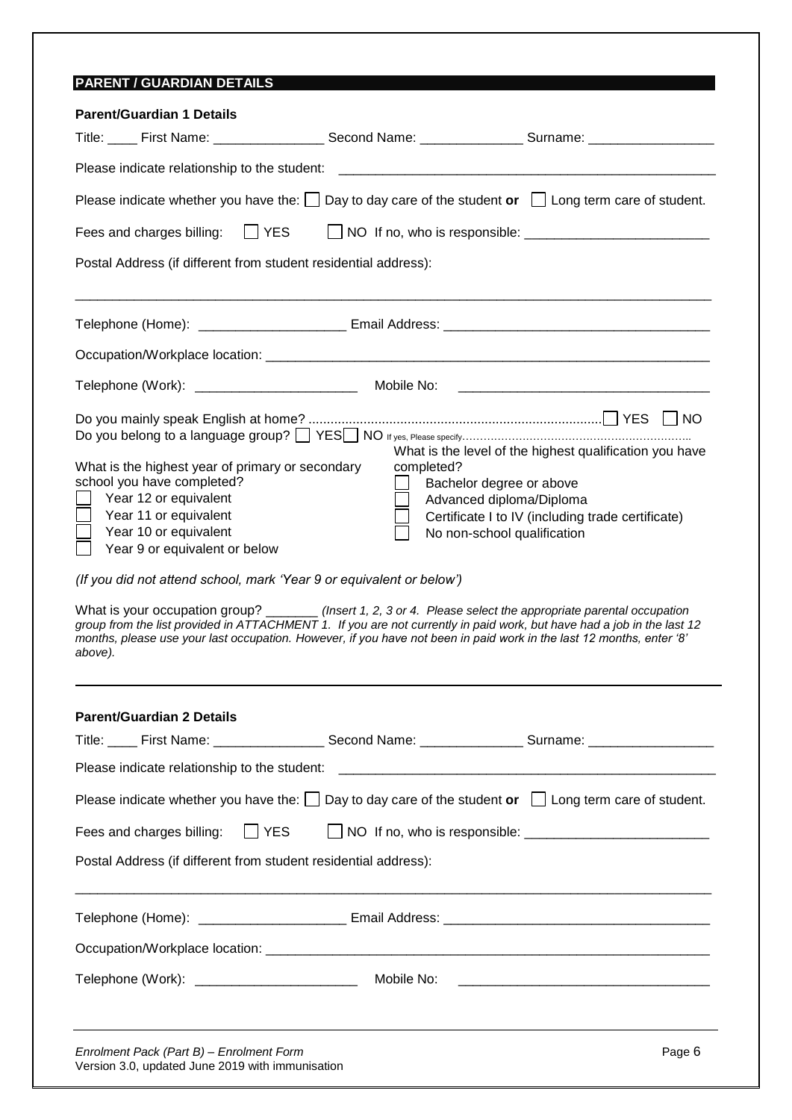| <b>Parent/Guardian 1 Details</b>                                                                                                                                   |                                                                                                                                                                                                                                                                                                                                                                                                                                                      |
|--------------------------------------------------------------------------------------------------------------------------------------------------------------------|------------------------------------------------------------------------------------------------------------------------------------------------------------------------------------------------------------------------------------------------------------------------------------------------------------------------------------------------------------------------------------------------------------------------------------------------------|
|                                                                                                                                                                    | Title: ____ First Name: __________________ Second Name: _______________ Surname: ___________________                                                                                                                                                                                                                                                                                                                                                 |
| Please indicate relationship to the student:                                                                                                                       |                                                                                                                                                                                                                                                                                                                                                                                                                                                      |
|                                                                                                                                                                    | Please indicate whether you have the: $\Box$ Day to day care of the student or $\Box$ Long term care of student.                                                                                                                                                                                                                                                                                                                                     |
| $\Box$ YES<br>Fees and charges billing:                                                                                                                            |                                                                                                                                                                                                                                                                                                                                                                                                                                                      |
| Postal Address (if different from student residential address):                                                                                                    |                                                                                                                                                                                                                                                                                                                                                                                                                                                      |
|                                                                                                                                                                    |                                                                                                                                                                                                                                                                                                                                                                                                                                                      |
|                                                                                                                                                                    |                                                                                                                                                                                                                                                                                                                                                                                                                                                      |
|                                                                                                                                                                    | Mobile No:                                                                                                                                                                                                                                                                                                                                                                                                                                           |
| What is the highest year of primary or secondary<br>school you have completed?<br>Year 12 or equivalent                                                            | <b>INO</b><br>What is the level of the highest qualification you have<br>completed?<br>Bachelor degree or above<br>Advanced diploma/Diploma                                                                                                                                                                                                                                                                                                          |
| Year 11 or equivalent<br>Year 10 or equivalent<br>Year 9 or equivalent or below<br>(If you did not attend school, mark 'Year 9 or equivalent or below')<br>above). | Certificate I to IV (including trade certificate)<br>No non-school qualification<br>What is your occupation group? _______ (Insert 1, 2, 3 or 4. Please select the appropriate parental occupation<br>group from the list provided in ATTACHMENT 1. If you are not currently in paid work, but have had a job in the last 12<br>months, please use your last occupation. However, if you have not been in paid work in the last 12 months, enter '8' |
| <b>Parent/Guardian 2 Details</b>                                                                                                                                   |                                                                                                                                                                                                                                                                                                                                                                                                                                                      |
|                                                                                                                                                                    | Title: _____ First Name: _____________________ Second Name: ___________________Surname: ______________________                                                                                                                                                                                                                                                                                                                                       |
| Please indicate relationship to the student:                                                                                                                       |                                                                                                                                                                                                                                                                                                                                                                                                                                                      |
|                                                                                                                                                                    | Please indicate whether you have the: $\Box$ Day to day care of the student or $\Box$ Long term care of student.                                                                                                                                                                                                                                                                                                                                     |
| $ $ YES<br>Fees and charges billing:                                                                                                                               |                                                                                                                                                                                                                                                                                                                                                                                                                                                      |
| Postal Address (if different from student residential address):                                                                                                    |                                                                                                                                                                                                                                                                                                                                                                                                                                                      |
|                                                                                                                                                                    |                                                                                                                                                                                                                                                                                                                                                                                                                                                      |
|                                                                                                                                                                    |                                                                                                                                                                                                                                                                                                                                                                                                                                                      |

Version 3.0, updated June 2019 with immunisation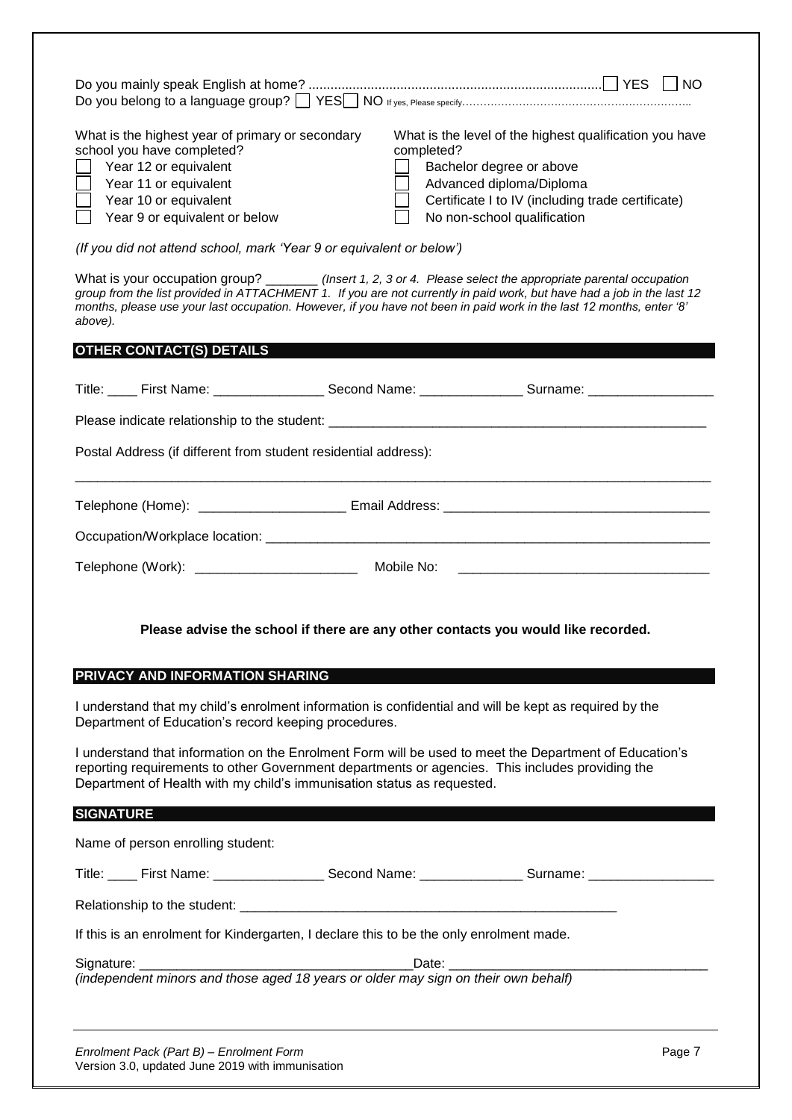| What is the highest year of primary or secondary<br>What is the level of the highest qualification you have<br>school you have completed?<br>completed?<br>Year 12 or equivalent<br>Bachelor degree or above<br>Year 11 or equivalent<br>Advanced diploma/Diploma<br>Year 10 or equivalent<br>Year 9 or equivalent or below<br>No non-school qualification                  | Certificate I to IV (including trade certificate) |  |  |  |
|-----------------------------------------------------------------------------------------------------------------------------------------------------------------------------------------------------------------------------------------------------------------------------------------------------------------------------------------------------------------------------|---------------------------------------------------|--|--|--|
| (If you did not attend school, mark 'Year 9 or equivalent or below')                                                                                                                                                                                                                                                                                                        |                                                   |  |  |  |
| What is your occupation group? _______ (Insert 1, 2, 3 or 4. Please select the appropriate parental occupation<br>group from the list provided in ATTACHMENT 1. If you are not currently in paid work, but have had a job in the last 12<br>months, please use your last occupation. However, if you have not been in paid work in the last 12 months, enter '8'<br>above). |                                                   |  |  |  |
| OTHER CONTACT(S) DETAILS                                                                                                                                                                                                                                                                                                                                                    |                                                   |  |  |  |
| Title: ____ First Name: __________________ Second Name: ________________ Surname: __________________                                                                                                                                                                                                                                                                        |                                                   |  |  |  |
|                                                                                                                                                                                                                                                                                                                                                                             |                                                   |  |  |  |
| Postal Address (if different from student residential address):                                                                                                                                                                                                                                                                                                             |                                                   |  |  |  |
|                                                                                                                                                                                                                                                                                                                                                                             |                                                   |  |  |  |
|                                                                                                                                                                                                                                                                                                                                                                             |                                                   |  |  |  |
|                                                                                                                                                                                                                                                                                                                                                                             |                                                   |  |  |  |
| Please advise the school if there are any other contacts you would like recorded.                                                                                                                                                                                                                                                                                           |                                                   |  |  |  |
| PRIVACY AND INFORMATION SHARING                                                                                                                                                                                                                                                                                                                                             |                                                   |  |  |  |
| I understand that my child's enrolment information is confidential and will be kept as required by the<br>Department of Education's record keeping procedures.                                                                                                                                                                                                              |                                                   |  |  |  |
| I understand that information on the Enrolment Form will be used to meet the Department of Education's<br>reporting requirements to other Government departments or agencies. This includes providing the<br>Department of Health with my child's immunisation status as requested.                                                                                         |                                                   |  |  |  |
| <b>SIGNATURE AND INSTALLATION</b>                                                                                                                                                                                                                                                                                                                                           |                                                   |  |  |  |
| Name of person enrolling student:                                                                                                                                                                                                                                                                                                                                           |                                                   |  |  |  |
| Title: ____ First Name: ___________________ Second Name: ________________ Surname: _________________                                                                                                                                                                                                                                                                        |                                                   |  |  |  |
|                                                                                                                                                                                                                                                                                                                                                                             |                                                   |  |  |  |
| If this is an enrolment for Kindergarten, I declare this to be the only enrolment made.                                                                                                                                                                                                                                                                                     |                                                   |  |  |  |
|                                                                                                                                                                                                                                                                                                                                                                             |                                                   |  |  |  |
|                                                                                                                                                                                                                                                                                                                                                                             |                                                   |  |  |  |

*Enrolment Pack (Part B) – Enrolment Form* Page 7 Version 3.0, updated June 2019 with immunisation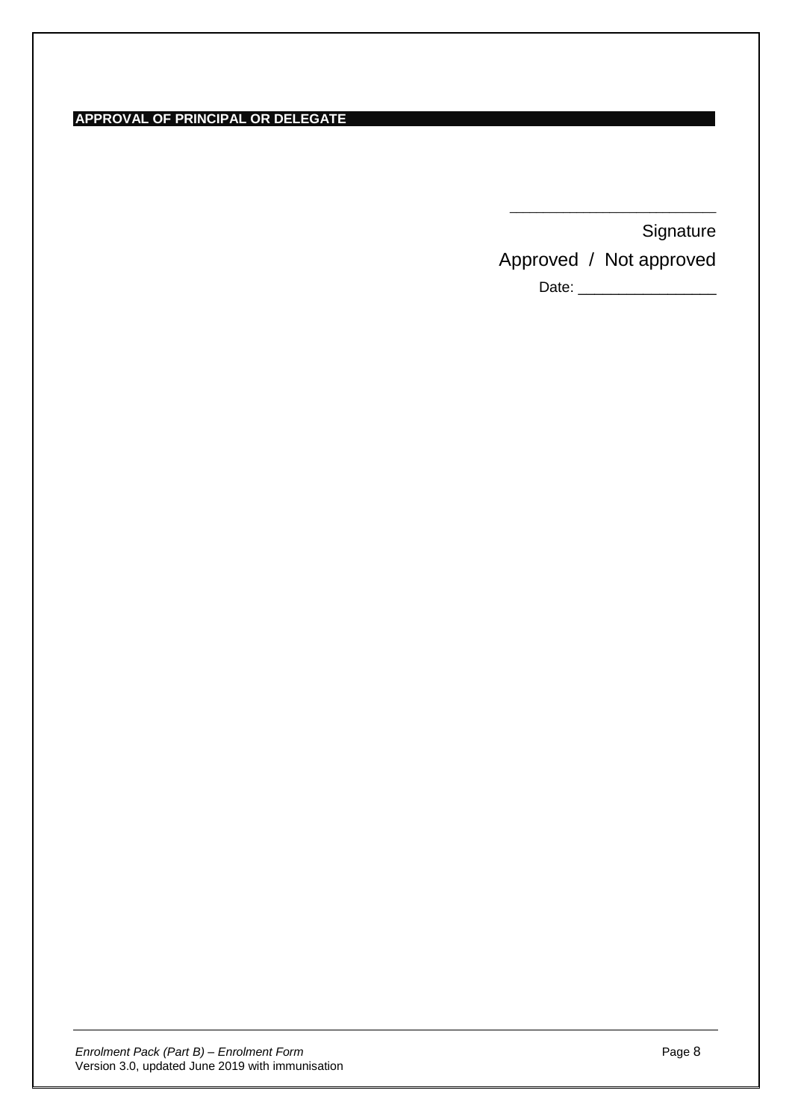**APPROVAL OF PRINCIPAL OR DELEGATE**

| Signature |
|-----------|
|-----------|

Approved / Not approved

\_\_\_\_\_\_\_\_\_\_\_\_\_\_\_\_\_\_\_\_\_\_\_\_\_\_\_\_\_\_\_

Date: \_\_\_\_\_\_\_\_\_\_\_\_\_\_\_\_\_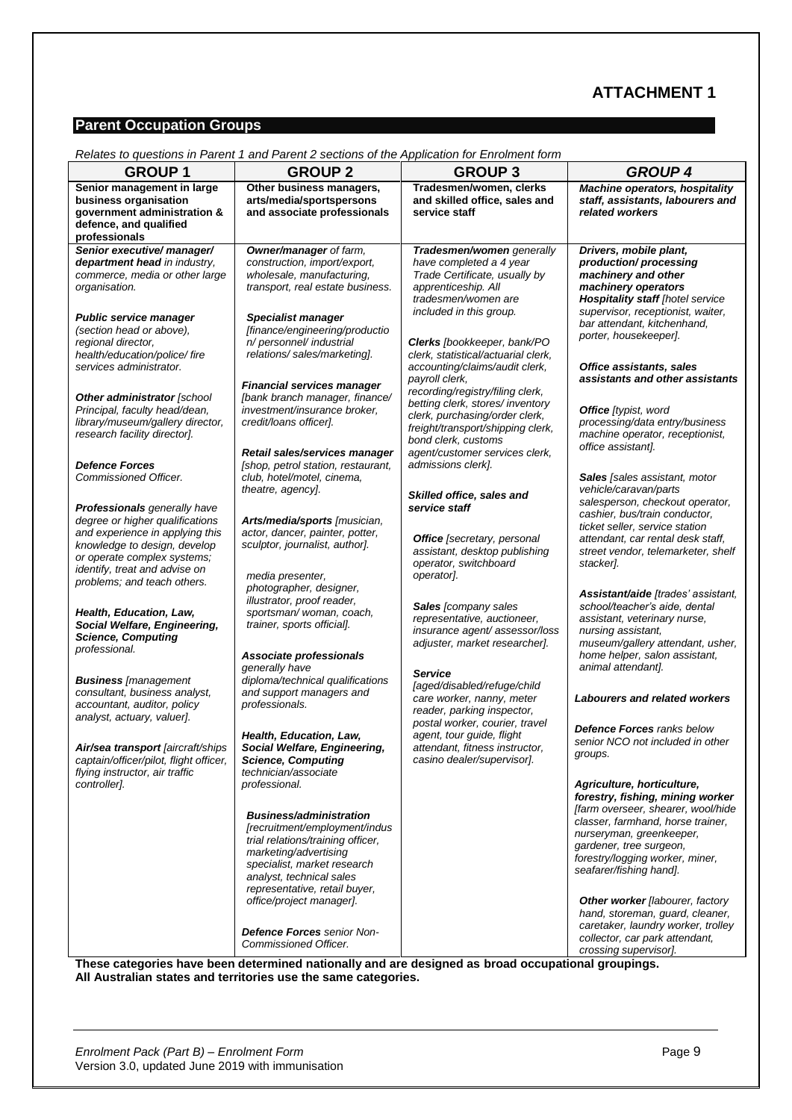## **ATTACHMENT 1**

### **Parent Occupation Groups**

|                                                                                                                                                                                                    | Relates to questions in Parent 1 and Parent 2 sections of the Application for Enrolment form                                                                                                                                               |                                                                                                                                                               |                                                                                                                                                                                                                                                                |
|----------------------------------------------------------------------------------------------------------------------------------------------------------------------------------------------------|--------------------------------------------------------------------------------------------------------------------------------------------------------------------------------------------------------------------------------------------|---------------------------------------------------------------------------------------------------------------------------------------------------------------|----------------------------------------------------------------------------------------------------------------------------------------------------------------------------------------------------------------------------------------------------------------|
| <b>GROUP1</b>                                                                                                                                                                                      | <b>GROUP 2</b>                                                                                                                                                                                                                             | <b>GROUP 3</b>                                                                                                                                                | <b>GROUP 4</b>                                                                                                                                                                                                                                                 |
| Senior management in large<br>business organisation<br>government administration &<br>defence, and qualified<br>professionals                                                                      | Other business managers,<br>arts/media/sportspersons<br>and associate professionals                                                                                                                                                        | Tradesmen/women, clerks<br>and skilled office, sales and<br>service staff                                                                                     | <b>Machine operators, hospitality</b><br>staff, assistants, labourers and<br>related workers                                                                                                                                                                   |
| Senior executive/ manager/<br>department head in industry,<br>commerce, media or other large<br>organisation.                                                                                      | Owner/manager of farm,<br>construction, import/export,<br>wholesale, manufacturing,<br>transport, real estate business.                                                                                                                    | Tradesmen/women generally<br>have completed a 4 year<br>Trade Certificate, usually by<br>apprenticeship. All<br>tradesmen/women are                           | Drivers, mobile plant,<br>production/processing<br>machinery and other<br>machinery operators<br><b>Hospitality staff [hotel service</b>                                                                                                                       |
| <b>Public service manager</b><br>(section head or above),<br>regional director,<br>health/education/police/fire<br>services administrator.                                                         | <b>Specialist manager</b><br>[finance/engineering/productio<br>n/ personnel/ industrial<br>relations/sales/marketing].                                                                                                                     | included in this group.<br>Clerks [bookkeeper, bank/PO<br>clerk, statistical/actuarial clerk,<br>accounting/claims/audit clerk,                               | supervisor, receptionist, waiter,<br>bar attendant, kitchenhand,<br>porter, housekeeper].<br>Office assistants, sales                                                                                                                                          |
| Other administrator [school<br>Principal, faculty head/dean,<br>library/museum/gallery director,<br>research facility director].                                                                   | <b>Financial services manager</b><br>[bank branch manager, finance/<br>investment/insurance broker,<br>credit/loans officer].                                                                                                              | payroll clerk,<br>recording/registry/filing clerk,<br>betting clerk, stores/ inventory<br>clerk, purchasing/order clerk,<br>freight/transport/shipping clerk, | assistants and other assistants<br><b>Office</b> [typist, word<br>processing/data entry/business<br>machine operator, receptionist,                                                                                                                            |
| <b>Defence Forces</b><br>Commissioned Officer.                                                                                                                                                     | Retail sales/services manager<br>[shop, petrol station, restaurant,<br>club, hotel/motel, cinema,<br>theatre, agency].                                                                                                                     | bond clerk, customs<br>agent/customer services clerk,<br>admissions clerk].                                                                                   | office assistant].<br>Sales [sales assistant, motor<br>vehicle/caravan/parts                                                                                                                                                                                   |
| Professionals generally have<br>degree or higher qualifications<br>and experience in applying this<br>knowledge to design, develop<br>or operate complex systems;<br>identify, treat and advise on | Arts/media/sports [musician,<br>actor, dancer, painter, potter,<br>sculptor, journalist, author].<br>media presenter,                                                                                                                      | Skilled office, sales and<br>service staff<br><b>Office</b> [secretary, personal<br>assistant, desktop publishing<br>operator, switchboard<br>operator].      | salesperson, checkout operator,<br>cashier, bus/train conductor,<br>ticket seller, service station<br>attendant, car rental desk staff,<br>street vendor, telemarketer, shelf<br>stacker].                                                                     |
| problems; and teach others.<br>Health, Education, Law,<br>Social Welfare, Engineering,<br><b>Science, Computing</b><br>professional.                                                               | photographer, designer,<br>illustrator, proof reader,<br>sportsman/woman, coach,<br>trainer, sports official].<br>Associate professionals                                                                                                  | Sales [company sales<br>representative, auctioneer,<br>insurance agent/assessor/loss<br>adjuster, market researcher].                                         | Assistant/aide [trades' assistant,<br>school/teacher's aide, dental<br>assistant, veterinary nurse,<br>nursing assistant,<br>museum/gallery attendant, usher,<br>home helper, salon assistant,                                                                 |
| <b>Business [management</b><br>consultant, business analyst,<br>accountant, auditor, policy<br>analyst, actuary, valuer].                                                                          | generally have<br>diploma/technical qualifications<br>and support managers and<br>professionals.                                                                                                                                           | <b>Service</b><br>[aged/disabled/refuge/child<br>care worker, nanny, meter<br>reader, parking inspector,<br>postal worker, courier, travel                    | animal attendant].<br><b>Labourers and related workers</b><br><b>Defence Forces ranks below</b>                                                                                                                                                                |
| Air/sea transport [aircraft/ships<br>captain/officer/pilot, flight officer,<br>flying instructor, air traffic                                                                                      | Health, Education, Law,<br>Social Welfare, Engineering,<br><b>Science, Computing</b><br>technician/associate                                                                                                                               | agent, tour guide, flight<br>attendant, fitness instructor,<br>casino dealer/supervisor].                                                                     | senior NCO not included in other<br>groups.                                                                                                                                                                                                                    |
| controller].                                                                                                                                                                                       | professional.<br><b>Business/administration</b><br>[recruitment/employment/indus<br>trial relations/training officer,<br>marketing/advertising<br>specialist, market research<br>analyst, technical sales<br>representative, retail buyer, |                                                                                                                                                               | Agriculture, horticulture,<br>forestry, fishing, mining worker<br>[farm overseer, shearer, wool/hide<br>classer, farmhand, horse trainer,<br>nurseryman, greenkeeper,<br>gardener, tree surgeon,<br>forestry/logging worker, miner,<br>seafarer/fishing hand]. |
|                                                                                                                                                                                                    | office/project manager].<br><b>Defence Forces</b> senior Non-<br>Commissioned Officer.                                                                                                                                                     | These categories have been determined nationally and are designed as broad occupational groupings.                                                            | <b>Other worker</b> [labourer, factory<br>hand, storeman, guard, cleaner,<br>caretaker, laundry worker, trolley<br>collector, car park attendant,<br>crossing supervisor].                                                                                     |

*Relates to questions in Parent 1 and Parent 2 sections of the Application for Enrolment form*

**These categories have been determined nationally and are designed as broad occupational groupings. All Australian states and territories use the same categories.**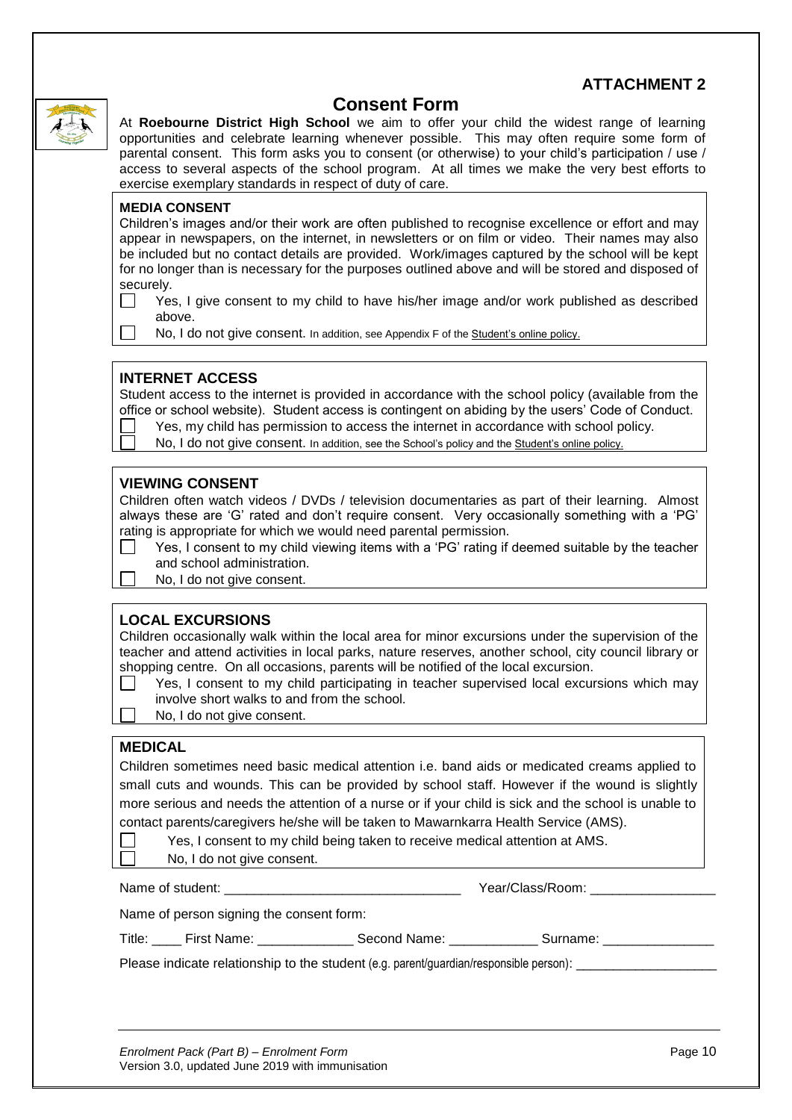### **ATTACHMENT 2**



# **Consent Form**

At **Roebourne District High School** we aim to offer your child the widest range of learning opportunities and celebrate learning whenever possible. This may often require some form of parental consent. This form asks you to consent (or otherwise) to your child's participation / use / access to several aspects of the school program. At all times we make the very best efforts to exercise exemplary standards in respect of duty of care.

### **MEDIA CONSENT**

Children's images and/or their work are often published to recognise excellence or effort and may appear in newspapers, on the internet, in newsletters or on film or video. Their names may also be included but no contact details are provided. Work/images captured by the school will be kept for no longer than is necessary for the purposes outlined above and will be stored and disposed of securely.

 $\Box$ Yes, I give consent to my child to have his/her image and/or work published as described above.

No, I do not give consent. In addition, see Appendix F of th[e Student's online policy.](http://www.det.wa.edu.au/policies/detcms/policy-planning-and-accountability/policies-framework/policies/students-online.en?oid=au.edu.wa.det.cms.contenttypes.Policy-id-3784406)

### **INTERNET ACCESS**

Student access to the internet is provided in accordance with the school policy (available from the office or school website). Student access is contingent on abiding by the users' Code of Conduct.

Yes, my child has permission to access the internet in accordance with school policy.

No, I do not give consent. In addition, see the School's policy and the [Student's online policy.](http://www.det.wa.edu.au/policies/detcms/policy-planning-and-accountability/policies-framework/policies/students-online.en?oid=au.edu.wa.det.cms.contenttypes.Policy-id-3784406)

### **VIEWING CONSENT**

Children often watch videos / DVDs / television documentaries as part of their learning. Almost always these are 'G' rated and don't require consent. Very occasionally something with a 'PG' rating is appropriate for which we would need parental permission.

- Yes, I consent to my child viewing items with a 'PG' rating if deemed suitable by the teacher and school administration.
- No. I do not give consent.

### **LOCAL EXCURSIONS**

Children occasionally walk within the local area for minor excursions under the supervision of the teacher and attend activities in local parks, nature reserves, another school, city council library or shopping centre. On all occasions, parents will be notified of the local excursion.

- Yes, I consent to my child participating in teacher supervised local excursions which may involve short walks to and from the school.
- No, I do not give consent.

### **MEDICAL**

Children sometimes need basic medical attention i.e. band aids or medicated creams applied to small cuts and wounds. This can be provided by school staff. However if the wound is slightly more serious and needs the attention of a nurse or if your child is sick and the school is unable to contact parents/caregivers he/she will be taken to Mawarnkarra Health Service (AMS).

Yes, I consent to my child being taken to receive medical attention at AMS.

No, I do not give consent.

Name of student: \_\_\_\_\_\_\_\_\_\_\_\_\_\_\_\_\_\_\_\_\_\_\_\_\_\_\_\_\_\_\_\_ Year/Class/Room: \_\_\_\_\_\_\_\_\_\_\_\_\_\_\_\_\_

Name of person signing the consent form:

| Title | First Name: | Second Name: | Surname: |  |
|-------|-------------|--------------|----------|--|
|       |             |              |          |  |

Please indicate relationship to the student (e.g. parent/guardian/responsible person):